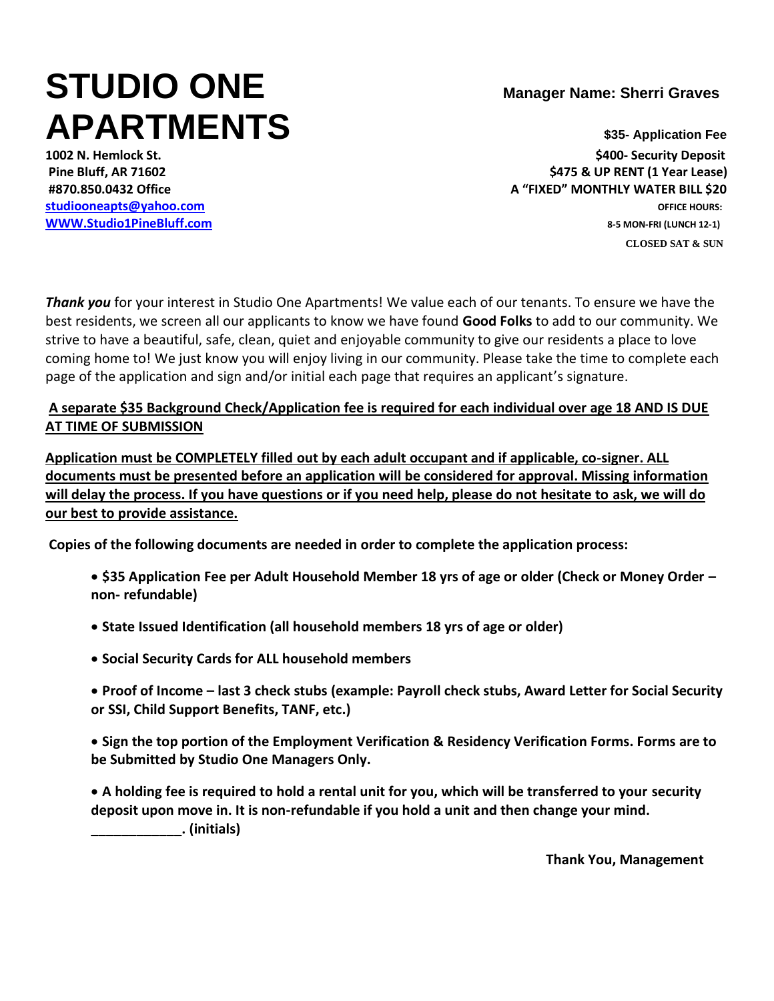# **STUDIO ONE Manager Name: Sherri Graves APARTMENTS \$35- Application Fee**

**1002 N. Hemlock St. \$400- Security Deposit Pine Bluff, AR 71602 \$475 & UP RENT (1 Year Lease) #870.850.0432 Office A "FIXED" MONTHLY WATER BILL \$20 [studiooneapts@yahoo.com](mailto:studiooneapts@yahoo.com) OFFICE HOURS: [WWW.Studio1PineBluff.com](http://www.studio1pinebluff.com/) 8-5 MON-FRI (LUNCH 12-1) CLOSED SAT & SUN**

*Thank you* for your interest in Studio One Apartments! We value each of our tenants. To ensure we have the best residents, we screen all our applicants to know we have found **Good Folks** to add to our community. We strive to have a beautiful, safe, clean, quiet and enjoyable community to give our residents a place to love coming home to! We just know you will enjoy living in our community. Please take the time to complete each page of the application and sign and/or initial each page that requires an applicant's signature.

### **A separate \$35 Background Check/Application fee is required for each individual over age 18 AND IS DUE AT TIME OF SUBMISSION**

**Application must be COMPLETELY filled out by each adult occupant and if applicable, co-signer. ALL documents must be presented before an application will be considered for approval. Missing information will delay the process. If you have questions or if you need help, please do not hesitate to ask, we will do our best to provide assistance.**

**Copies of the following documents are needed in order to complete the application process:**

- **\$35 Application Fee per Adult Household Member 18 yrs of age or older (Check or Money Order – non- refundable)**
- **State Issued Identification (all household members 18 yrs of age or older)**
- **Social Security Cards for ALL household members**
- **Proof of Income – last 3 check stubs (example: Payroll check stubs, Award Letter for Social Security or SSI, Child Support Benefits, TANF, etc.)**

• **Sign the top portion of the Employment Verification & Residency Verification Forms. Forms are to be Submitted by Studio One Managers Only.** 

• **A holding fee is required to hold a rental unit for you, which will be transferred to your security deposit upon move in. It is non-refundable if you hold a unit and then change your mind. \_\_\_\_\_\_\_\_\_\_\_\_. (initials)** 

**Thank You, Management**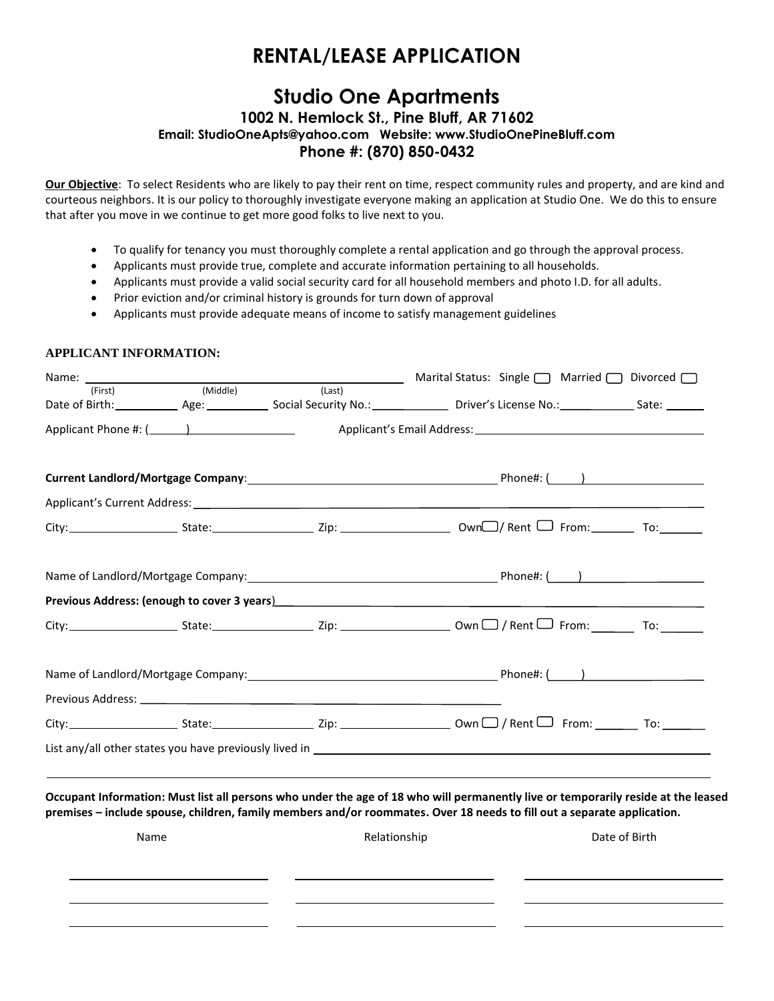### **Studio One Apartments**

### **1002 N. Hemlock St., Pine Bluff, AR 71602 Email: [StudioOneApts@yahoo.com](mailto:StudioOneApts@yahoo.com) Website: www.StudioOnePineBluff.com Phone #: (870) 850-0432**

**Our Objective**: To select Residents who are likely to pay their rent on time, respect community rules and property, and are kind and courteous neighbors. It is our policy to thoroughly investigate everyone making an application at Studio One. We do this to ensure that after you move in we continue to get more good folks to live next to you.

- To qualify for tenancy you must thoroughly complete a rental application and go through the approval process.
- Applicants must provide true, complete and accurate information pertaining to all households.
- Applicants must provide a valid social security card for all household members and photo I.D. for all adults.
- Prior eviction and/or criminal history is grounds for turn down of approval
- Applicants must provide adequate means of income to satisfy management guidelines

### **APPLICANT INFORMATION:**

|         |          |              | <b>Mariculary Marital Status: Single</b> □ Married □ Divorced □                                                                                                                                                                                              |               |  |  |
|---------|----------|--------------|--------------------------------------------------------------------------------------------------------------------------------------------------------------------------------------------------------------------------------------------------------------|---------------|--|--|
| (First) | (Middle) | (Last)       |                                                                                                                                                                                                                                                              |               |  |  |
|         |          |              | Date of Birth: ______________ Age: ______________ Social Security No.: _______________ Driver's License No.: ______________ Sate: _______                                                                                                                    |               |  |  |
|         |          |              | Applicant's Email Address: 1986 and 1987 and 1988 and 1988 and 1988 and 1988 and 1988 and 1988 and 1988 and 19                                                                                                                                               |               |  |  |
|         |          |              |                                                                                                                                                                                                                                                              |               |  |  |
|         |          |              |                                                                                                                                                                                                                                                              |               |  |  |
|         |          |              | Applicant's Current Address: North American Control of the Control of the Control of the Control of the Control of the Control of the Control of the Control of the Control of the Control of the Control of the Control of th                               |               |  |  |
|         |          |              | $City:$ From: To: To: State: Zip: Zip: $2ip:$ Own $\Box$ / Rent $\Box$ From: To: To:                                                                                                                                                                         |               |  |  |
|         |          |              |                                                                                                                                                                                                                                                              |               |  |  |
|         |          |              |                                                                                                                                                                                                                                                              |               |  |  |
|         |          |              |                                                                                                                                                                                                                                                              |               |  |  |
|         |          |              |                                                                                                                                                                                                                                                              |               |  |  |
|         |          |              |                                                                                                                                                                                                                                                              |               |  |  |
|         |          |              |                                                                                                                                                                                                                                                              |               |  |  |
|         |          |              |                                                                                                                                                                                                                                                              |               |  |  |
|         |          |              | Occupant Information: Must list all persons who under the age of 18 who will permanently live or temporarily reside at the leased<br>premises - include spouse, children, family members and/or roommates. Over 18 needs to fill out a separate application. |               |  |  |
|         |          | Relationship |                                                                                                                                                                                                                                                              | Date of Birth |  |  |
| Name    |          |              |                                                                                                                                                                                                                                                              |               |  |  |
|         |          |              |                                                                                                                                                                                                                                                              |               |  |  |
|         |          |              |                                                                                                                                                                                                                                                              |               |  |  |
|         |          |              |                                                                                                                                                                                                                                                              |               |  |  |
|         |          |              |                                                                                                                                                                                                                                                              |               |  |  |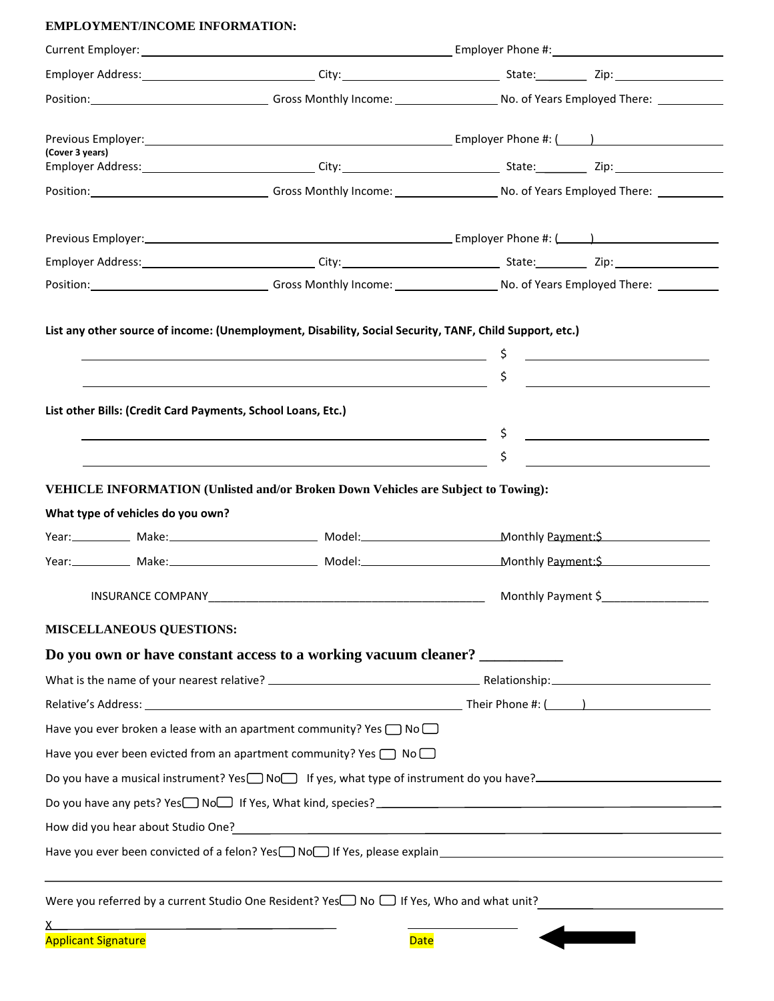### **EMPLOYMENT/INCOME INFORMATION:**

| (Cover 3 years)                                                                                                                                                                                                                                                                    |                                                                                                                                                                                                                                |          |                    |
|------------------------------------------------------------------------------------------------------------------------------------------------------------------------------------------------------------------------------------------------------------------------------------|--------------------------------------------------------------------------------------------------------------------------------------------------------------------------------------------------------------------------------|----------|--------------------|
|                                                                                                                                                                                                                                                                                    |                                                                                                                                                                                                                                |          |                    |
|                                                                                                                                                                                                                                                                                    |                                                                                                                                                                                                                                |          |                    |
|                                                                                                                                                                                                                                                                                    |                                                                                                                                                                                                                                |          |                    |
|                                                                                                                                                                                                                                                                                    |                                                                                                                                                                                                                                |          |                    |
| List other Bills: (Credit Card Payments, School Loans, Etc.)<br>What type of vehicles do you own?                                                                                                                                                                                  | <u> 1989 - Johann Stein, mars an deus Amerikaansk kommunister (</u><br><b>VEHICLE INFORMATION (Unlisted and/or Broken Down Vehicles are Subject to Towing):</b>                                                                | \$<br>\$ |                    |
|                                                                                                                                                                                                                                                                                    | Year: Make: Make: Make: Model: Model: Model: Monthly Payment:\$                                                                                                                                                                |          |                    |
|                                                                                                                                                                                                                                                                                    | Year: Make: Make: Make: Model: Model: Model: Monthly Payment:\$                                                                                                                                                                |          |                    |
|                                                                                                                                                                                                                                                                                    |                                                                                                                                                                                                                                |          | Monthly Payment \$ |
| <b>MISCELLANEOUS QUESTIONS:</b>                                                                                                                                                                                                                                                    |                                                                                                                                                                                                                                |          |                    |
|                                                                                                                                                                                                                                                                                    | Do you own or have constant access to a working vacuum cleaner? __________                                                                                                                                                     |          |                    |
|                                                                                                                                                                                                                                                                                    |                                                                                                                                                                                                                                |          |                    |
|                                                                                                                                                                                                                                                                                    |                                                                                                                                                                                                                                |          |                    |
|                                                                                                                                                                                                                                                                                    | Have you ever broken a lease with an apartment community? Yes $\Box$ No $\Box$                                                                                                                                                 |          |                    |
|                                                                                                                                                                                                                                                                                    | Have you ever been evicted from an apartment community? Yes $\Box$ No $\Box$                                                                                                                                                   |          |                    |
|                                                                                                                                                                                                                                                                                    | Do you have a musical instrument? Yes  No U If yes, what type of instrument do you have?  U You have a musical instrument? Yes  U You have a musical instrument? Yes  U You have a musical instrument? Yes  U You have a music |          |                    |
|                                                                                                                                                                                                                                                                                    | Do you have any pets? Yes Now If Yes, What kind, species?<br>Do you have any pets? Yes Now If Yes, What kind, species?                                                                                                         |          |                    |
|                                                                                                                                                                                                                                                                                    | How did you hear about Studio One? <b>Example 2018 12:20 April 2018 12:20 April 201</b>                                                                                                                                        |          |                    |
|                                                                                                                                                                                                                                                                                    |                                                                                                                                                                                                                                |          |                    |
|                                                                                                                                                                                                                                                                                    | Were you referred by a current Studio One Resident? Yes $\Box$ No $\Box$ If Yes, Who and what unit?<br>                                                                                                                        |          |                    |
| $X$ and $\overline{S}$ is a strong of $\overline{S}$ is a strong of $\overline{S}$ is a strong of $\overline{S}$ is a strong of $\overline{S}$ is a strong of $\overline{S}$ is a strong of $\overline{S}$ is a strong of $\overline{S}$ is a strong of $\overline{S}$ is a strong |                                                                                                                                                                                                                                |          |                    |

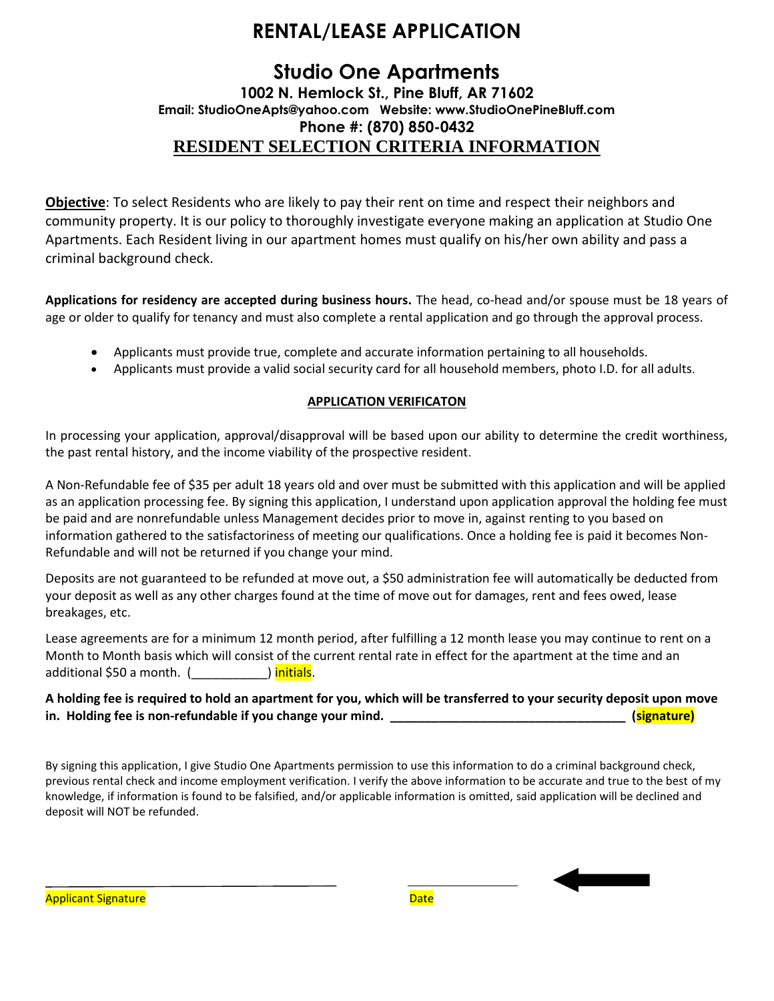### **Studio One Apartments 1002 N. Hemlock St., Pine Bluff, AR 71602 Email: [StudioOneApts@yahoo.com](mailto:StudioOneApts@yahoo.com) Website: www.StudioOnePineBluff.com Phone #: (870) 850-0432 RESIDENT SELECTION CRITERIA INFORMATION**

**Objective**: To select Residents who are likely to pay their rent on time and respect their neighbors and community property. It is our policy to thoroughly investigate everyone making an application at Studio One Apartments. Each Resident living in our apartment homes must qualify on his/her own ability and pass a criminal background check.

**Applications for residency are accepted during business hours.** The head, co-head and/or spouse must be 18 years of age or older to qualify for tenancy and must also complete a rental application and go through the approval process.

- Applicants must provide true, complete and accurate information pertaining to all households.
- Applicants must provide a valid social security card for all household members, photo I.D. for all adults.

### **APPLICATION VERIFICATON**

In processing your application, approval/disapproval will be based upon our ability to determine the credit worthiness, the past rental history, and the income viability of the prospective resident.

A Non-Refundable fee of \$35 per adult 18 years old and over must be submitted with this application and will be applied as an application processing fee. By signing this application, I understand upon application approval the holding fee must be paid and are nonrefundable unless Management decides prior to move in, against renting to you based on information gathered to the satisfactoriness of meeting our qualifications. Once a holding fee is paid it becomes Non-Refundable and will not be returned if you change your mind.

Deposits are not guaranteed to be refunded at move out, a \$50 administration fee will automatically be deducted from your deposit as well as any other charges found at the time of move out for damages, rent and fees owed, lease breakages, etc.

Lease agreements are for a minimum 12 month period, after fulfilling a 12 month lease you may continue to rent on a Month to Month basis which will consist of the current rental rate in effect for the apartment at the time and an additional \$50 a month. (  $\qquad \qquad$  ) initials.

### **A holding fee is required to hold an apartment for you, which will be transferred to your security deposit upon move in. Holding fee is non-refundable if you change your mind. \_\_\_\_\_\_\_\_\_\_\_\_\_\_\_\_\_\_\_\_\_\_\_\_\_\_\_\_\_\_\_\_\_\_ (signature)**

By signing this application, I give Studio One Apartments permission to use this information to do a criminal background check, previous rental check and income employment verification. I verify the above information to be accurate and true to the best of my knowledge, if information is found to be falsified, and/or applicable information is omitted, said application will be declined and deposit will NOT be refunded.

Applicant Signature **Date** 



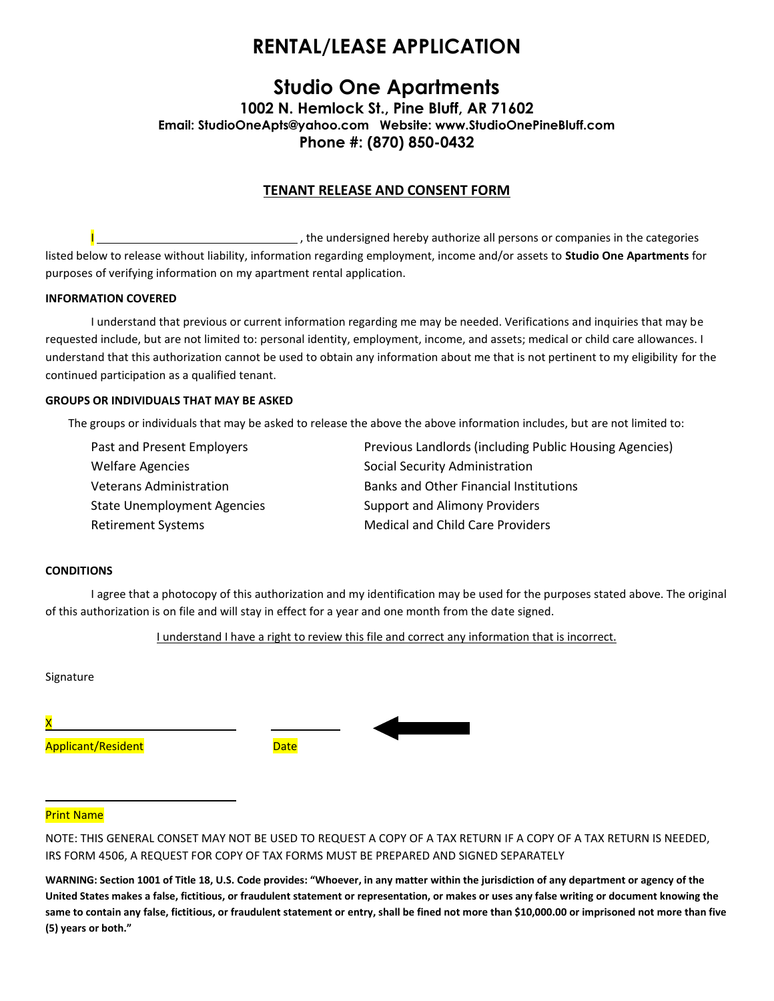### **Studio One Apartments 1002 N. Hemlock St., Pine Bluff, AR 71602 Email: [StudioOneApts@yahoo.com](mailto:StudioOneApts@yahoo.com) Website: www.StudioOnePineBluff.com Phone #: (870) 850-0432**

### **TENANT RELEASE AND CONSENT FORM**

 $\overline{\phantom{a}}$ , the undersigned hereby authorize all persons or companies in the categories listed below to release without liability, information regarding employment, income and/or assets to **Studio One Apartments** for purposes of verifying information on my apartment rental application.

#### **INFORMATION COVERED**

I understand that previous or current information regarding me may be needed. Verifications and inquiries that may be requested include, but are not limited to: personal identity, employment, income, and assets; medical or child care allowances. I understand that this authorization cannot be used to obtain any information about me that is not pertinent to my eligibility for the continued participation as a qualified tenant.

#### **GROUPS OR INDIVIDUALS THAT MAY BE ASKED**

The groups or individuals that may be asked to release the above the above information includes, but are not limited to:

| Past and Present Employers         | Previous Landlords (including Public Housing Agencies) |
|------------------------------------|--------------------------------------------------------|
| <b>Welfare Agencies</b>            | Social Security Administration                         |
| <b>Veterans Administration</b>     | <b>Banks and Other Financial Institutions</b>          |
| <b>State Unemployment Agencies</b> | Support and Alimony Providers                          |
| <b>Retirement Systems</b>          | <b>Medical and Child Care Providers</b>                |

#### **CONDITIONS**

I agree that a photocopy of this authorization and my identification may be used for the purposes stated above. The original of this authorization is on file and will stay in effect for a year and one month from the date signed.

I understand I have a right to review this file and correct any information that is incorrect.

Signature

X

Applicant/Resident de Date



#### Print Name

NOTE: THIS GENERAL CONSET MAY NOT BE USED TO REQUEST A COPY OF A TAX RETURN IF A COPY OF A TAX RETURN IS NEEDED, IRS FORM 4506, A REQUEST FOR COPY OF TAX FORMS MUST BE PREPARED AND SIGNED SEPARATELY

**WARNING: Section 1001 of Title 18, U.S. Code provides: "Whoever, in any matter within the jurisdiction of any department or agency of the United States makes a false, fictitious, or fraudulent statement or representation, or makes or uses any false writing or document knowing the same to contain any false, fictitious, or fraudulent statement or entry, shall be fined not more than \$10,000.00 or imprisoned not more than five (5) years or both."**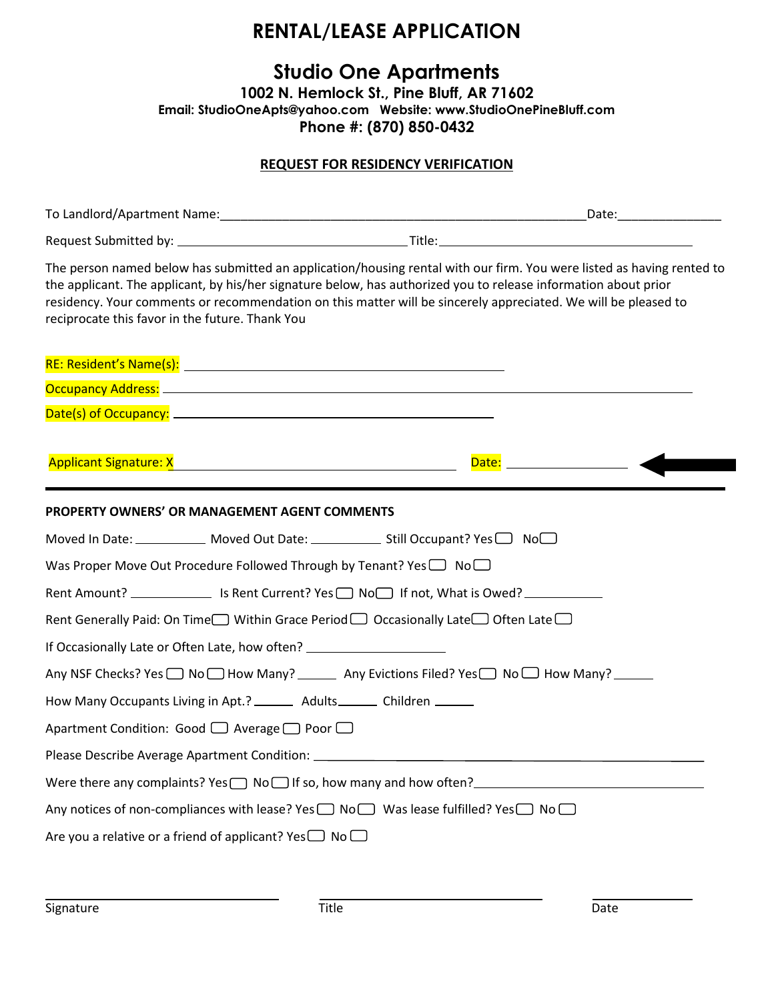### **Studio One Apartments**

**1002 N. Hemlock St., Pine Bluff, AR 71602 Email: [StudioOneApts@yahoo.com](mailto:StudioOneApts@yahoo.com) Website: www.StudioOnePineBluff.com Phone #: (870) 850-0432** 

### **REQUEST FOR RESIDENCY VERIFICATION**

| The person named below has submitted an application/housing rental with our firm. You were listed as having rented to<br>the applicant. The applicant, by his/her signature below, has authorized you to release information about prior<br>residency. Your comments or recommendation on this matter will be sincerely appreciated. We will be pleased to<br>reciprocate this favor in the future. Thank You |                                                                                                                |
|---------------------------------------------------------------------------------------------------------------------------------------------------------------------------------------------------------------------------------------------------------------------------------------------------------------------------------------------------------------------------------------------------------------|----------------------------------------------------------------------------------------------------------------|
|                                                                                                                                                                                                                                                                                                                                                                                                               |                                                                                                                |
|                                                                                                                                                                                                                                                                                                                                                                                                               |                                                                                                                |
|                                                                                                                                                                                                                                                                                                                                                                                                               |                                                                                                                |
| <b>Applicant Signature: X</b><br><u> 1980 - Johann Barbara, martxa amerikan personal (h. 1980).</u>                                                                                                                                                                                                                                                                                                           | Date: 2008 - 2008 - 2014 - 2014 - 2014 - 2014 - 2014 - 2014 - 2014 - 2014 - 2014 - 2014 - 2014 - 2014 - 2014 - |
| PROPERTY OWNERS' OR MANAGEMENT AGENT COMMENTS                                                                                                                                                                                                                                                                                                                                                                 |                                                                                                                |
| Moved In Date: ____________ Moved Out Date: _____________ Still Occupant? Yes _____ No                                                                                                                                                                                                                                                                                                                        |                                                                                                                |
| Was Proper Move Out Procedure Followed Through by Tenant? Yes $\Box$ No $\Box$                                                                                                                                                                                                                                                                                                                                |                                                                                                                |
| Rent Amount? _________________ Is Rent Current? Yes ____ No ____ If not, What is Owed? ____________                                                                                                                                                                                                                                                                                                           |                                                                                                                |
| Rent Generally Paid: On Time Within Grace Period $\Box$ Occasionally Late $\Box$ Often Late $\Box$                                                                                                                                                                                                                                                                                                            |                                                                                                                |
| If Occasionally Late or Often Late, how often? _________________________________                                                                                                                                                                                                                                                                                                                              |                                                                                                                |
| Any NSF Checks? Yes $\Box$ No $\Box$ How Many? ________ Any Evictions Filed? Yes $\Box$ No $\Box$ How Many? _______                                                                                                                                                                                                                                                                                           |                                                                                                                |
| How Many Occupants Living in Apt.? ________ Adults_______ Children ______                                                                                                                                                                                                                                                                                                                                     |                                                                                                                |
| Apartment Condition: Good □ Average □ Poor □                                                                                                                                                                                                                                                                                                                                                                  |                                                                                                                |
| Please Describe Average Apartment Condition: ___________________________________                                                                                                                                                                                                                                                                                                                              |                                                                                                                |
| Were there any complaints? Yes $\Box$ No $\Box$ If so, how many and how often?                                                                                                                                                                                                                                                                                                                                |                                                                                                                |
| Any notices of non-compliances with lease? Yes $\Box$ No $\Box$ Was lease fulfilled? Yes $\Box$ No $\Box$                                                                                                                                                                                                                                                                                                     |                                                                                                                |
| Are you a relative or a friend of applicant? Yes $\Box$ No $\Box$                                                                                                                                                                                                                                                                                                                                             |                                                                                                                |
|                                                                                                                                                                                                                                                                                                                                                                                                               |                                                                                                                |